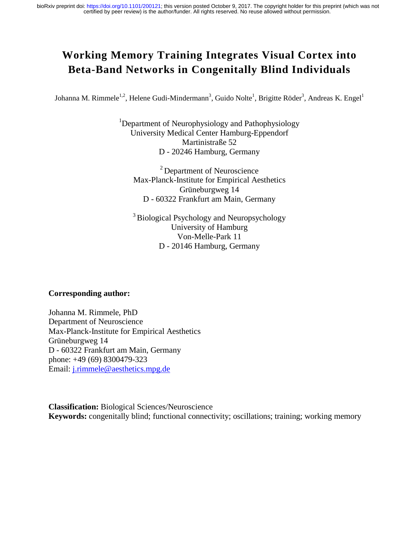# **Working Memory Training Integrates Visual Cortex into Beta-Band Networks in Congenitally Blind Individuals**

Johanna M. Rimmele<sup>1,2</sup>, Helene Gudi-Mindermann<sup>3</sup>, Guido Nolte<sup>1</sup>, Brigitte Röder<sup>3</sup>, Andreas K. Engel<sup>1</sup>

<sup>1</sup>Department of Neurophysiology and Pathophysiology University Medical Center Hamburg-Eppendorf Martinistraße 52 D - 20246 Hamburg, Germany

2 Department of Neuroscience Max-Planck-Institute for Empirical Aesthetics Grüneburgweg 14 D - 60322 Frankfurt am Main, Germany

<sup>3</sup> Biological Psychology and Neuropsychology University of Hamburg Von-Melle-Park 11 D - 20146 Hamburg, Germany

#### **Corresponding author:**

Johanna M. Rimmele, PhD Department of Neuroscience Max-Planck-Institute for Empirical Aesthetics Grüneburgweg 14 D - 60322 Frankfurt am Main, Germany phone: +49 (69) 8300479-323 Email: j.rimmele@aesthetics.mpg.de

**Classification:** Biological Sciences/Neuroscience **Keywords:** congenitally blind; functional connectivity; oscillations; training; working memory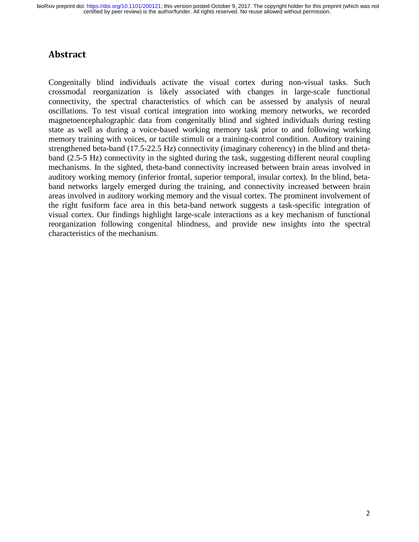# Abstract

Congenitally blind individuals activate the visual cortex during non-visual tasks. Such crossmodal reorganization is likely associated with changes in large-scale functional connectivity, the spectral characteristics of which can be assessed by analysis of neural oscillations. To test visual cortical integration into working memory networks, we recorded magnetoencephalographic data from congenitally blind and sighted individuals during resting state as well as during a voice-based working memory task prior to and following working memory training with voices, or tactile stimuli or a training-control condition. Auditory training strengthened beta-band (17.5-22.5 Hz) connectivity (imaginary coherency) in the blind and thetaband (2.5-5 Hz) connectivity in the sighted during the task, suggesting different neural coupling mechanisms. In the sighted, theta-band connectivity increased between brain areas involved in auditory working memory (inferior frontal, superior temporal, insular cortex). In the blind, betaband networks largely emerged during the training, and connectivity increased between brain areas involved in auditory working memory and the visual cortex. The prominent involvement of the right fusiform face area in this beta-band network suggests a task-specific integration of visual cortex. Our findings highlight large-scale interactions as a key mechanism of functional reorganization following congenital blindness, and provide new insights into the spectral characteristics of the mechanism.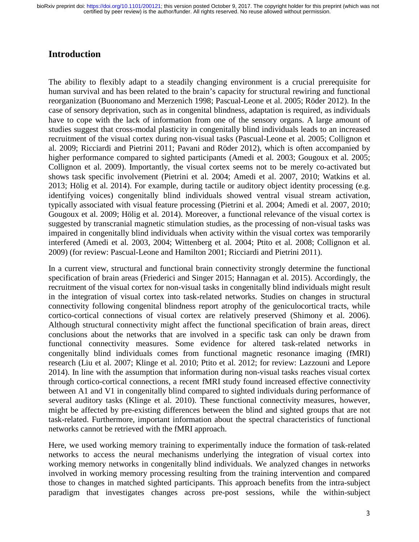### **Introduction**

The ability to flexibly adapt to a steadily changing environment is a crucial prerequisite for human survival and has been related to the brain's capacity for structural rewiring and functional reorganization (Buonomano and Merzenich 1998; Pascual-Leone et al. 2005; Röder 2012). In the case of sensory deprivation, such as in congenital blindness, adaptation is required, as individuals have to cope with the lack of information from one of the sensory organs. A large amount of studies suggest that cross-modal plasticity in congenitally blind individuals leads to an increased recruitment of the visual cortex during non-visual tasks (Pascual-Leone et al. 2005; Collignon et al. 2009; Ricciardi and Pietrini 2011; Pavani and Röder 2012), which is often accompanied by higher performance compared to sighted participants (Amedi et al. 2003; Gougoux et al. 2005; Collignon et al. 2009). Importantly, the visual cortex seems not to be merely co-activated but shows task specific involvement (Pietrini et al. 2004; Amedi et al. 2007, 2010; Watkins et al. 2013; Hölig et al. 2014). For example, during tactile or auditory object identity processing (e.g. identifying voices) congenitally blind individuals showed ventral visual stream activation, typically associated with visual feature processing (Pietrini et al. 2004; Amedi et al. 2007, 2010; Gougoux et al. 2009; Hölig et al. 2014). Moreover, a functional relevance of the visual cortex is suggested by transcranial magnetic stimulation studies, as the processing of non-visual tasks was impaired in congenitally blind individuals when activity within the visual cortex was temporarily interfered (Amedi et al. 2003, 2004; Wittenberg et al. 2004; Ptito et al. 2008; Collignon et al. 2009) (for review: Pascual-Leone and Hamilton 2001; Ricciardi and Pietrini 2011).

In a current view, structural and functional brain connectivity strongly determine the functional specification of brain areas (Friederici and Singer 2015; Hannagan et al. 2015). Accordingly, the recruitment of the visual cortex for non-visual tasks in congenitally blind individuals might result in the integration of visual cortex into task-related networks. Studies on changes in structural connectivity following congenital blindness report atrophy of the geniculocortical tracts, while cortico-cortical connections of visual cortex are relatively preserved (Shimony et al. 2006). Although structural connectivity might affect the functional specification of brain areas, direct conclusions about the networks that are involved in a specific task can only be drawn from functional connectivity measures. Some evidence for altered task-related networks in congenitally blind individuals comes from functional magnetic resonance imaging (fMRI) research (Liu et al. 2007; Klinge et al. 2010; Ptito et al. 2012; for review: Lazzouni and Lepore 2014). In line with the assumption that information during non-visual tasks reaches visual cortex through cortico-cortical connections, a recent fMRI study found increased effective connectivity between A1 and V1 in congenitally blind compared to sighted individuals during performance of several auditory tasks (Klinge et al. 2010). These functional connectivity measures, however, might be affected by pre-existing differences between the blind and sighted groups that are not task-related. Furthermore, important information about the spectral characteristics of functional networks cannot be retrieved with the fMRI approach.

Here, we used working memory training to experimentally induce the formation of task-related networks to access the neural mechanisms underlying the integration of visual cortex into working memory networks in congenitally blind individuals. We analyzed changes in networks involved in working memory processing resulting from the training intervention and compared those to changes in matched sighted participants. This approach benefits from the intra-subject paradigm that investigates changes across pre-post sessions, while the within-subject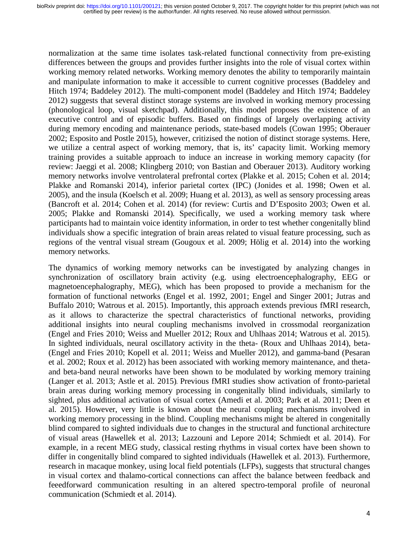normalization at the same time isolates task-related functional connectivity from pre-existing differences between the groups and provides further insights into the role of visual cortex within working memory related networks. Working memory denotes the ability to temporarily maintain and manipulate information to make it accessible to current cognitive processes (Baddeley and Hitch 1974; Baddeley 2012). The multi-component model (Baddeley and Hitch 1974; Baddeley 2012) suggests that several distinct storage systems are involved in working memory processing (phonological loop, visual sketchpad). Additionally, this model proposes the existence of an executive control and of episodic buffers. Based on findings of largely overlapping activity during memory encoding and maintenance periods, state-based models (Cowan 1995; Oberauer 2002; Esposito and Postle 2015), however, critizised the notion of distinct storage systems. Here, we utilize a central aspect of working memory, that is, its' capacity limit. Working memory training provides a suitable approach to induce an increase in working memory capacity (for review: Jaeggi et al. 2008; Klingberg 2010; von Bastian and Oberauer 2013). Auditory working memory networks involve ventrolateral prefrontal cortex (Plakke et al. 2015; Cohen et al. 2014; Plakke and Romanski 2014), inferior parietal cortex (IPC) (Jonides et al. 1998; Owen et al. 2005), and the insula (Koelsch et al. 2009; Huang et al. 2013), as well as sensory processing areas (Bancroft et al. 2014; Cohen et al. 2014) (for review: Curtis and D'Esposito 2003; Owen et al. 2005; Plakke and Romanski 2014). Specifically, we used a working memory task where participants had to maintain voice identity information, in order to test whether congenitally blind individuals show a specific integration of brain areas related to visual feature processing, such as regions of the ventral visual stream (Gougoux et al. 2009; Hölig et al. 2014) into the working memory networks.

The dynamics of working memory networks can be investigated by analyzing changes in synchronization of oscillatory brain activity (e.g. using electroencephalography, EEG or magnetoencephalography, MEG), which has been proposed to provide a mechanism for the formation of functional networks (Engel et al. 1992, 2001; Engel and Singer 2001; Jutras and Buffalo 2010; Watrous et al. 2015). Importantly, this approach extends previous fMRI research, as it allows to characterize the spectral characteristics of functional networks, providing additional insights into neural coupling mechanisms involved in crossmodal reorganization (Engel and Fries 2010; Weiss and Mueller 2012; Roux and Uhlhaas 2014; Watrous et al. 2015). In sighted individuals, neural oscillatory activity in the theta- (Roux and Uhlhaas 2014), beta- (Engel and Fries 2010; Kopell et al. 2011; Weiss and Mueller 2012), and gamma-band (Pesaran et al. 2002; Roux et al. 2012) has been associated with working memory maintenance, and thetaand beta-band neural networks have been shown to be modulated by working memory training (Langer et al. 2013; Astle et al. 2015). Previous fMRI studies show activation of fronto-parietal brain areas during working memory processing in congenitally blind individuals, similarly to sighted, plus additional activation of visual cortex (Amedi et al. 2003; Park et al. 2011; Deen et al. 2015). However, very little is known about the neural coupling mechanisms involved in working memory processing in the blind. Coupling mechanisms might be altered in congenitally blind compared to sighted individuals due to changes in the structural and functional architecture of visual areas (Hawellek et al. 2013; Lazzouni and Lepore 2014; Schmiedt et al. 2014). For example, in a recent MEG study, classical resting rhythms in visual cortex have been shown to differ in congenitally blind compared to sighted individuals (Hawellek et al. 2013). Furthermore, research in macaque monkey, using local field potentials (LFPs), suggests that structural changes in visual cortex and thalamo-cortical connections can affect the balance between feedback and feeedforward communication resulting in an altered spectro-temporal profile of neuronal communication (Schmiedt et al. 2014).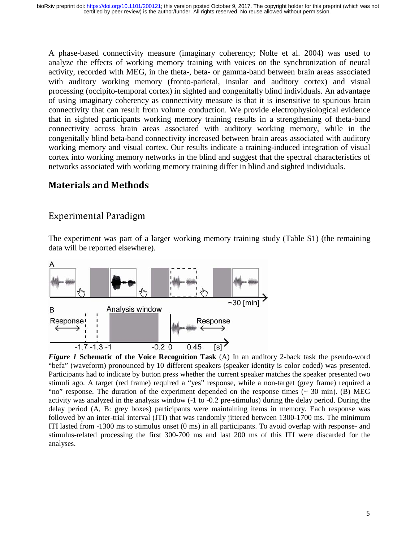A phase-based connectivity measure (imaginary coherency; Nolte et al. 2004) was used to analyze the effects of working memory training with voices on the synchronization of neural activity, recorded with MEG, in the theta-, beta- or gamma-band between brain areas associated with auditory working memory (fronto-parietal, insular and auditory cortex) and visual processing (occipito-temporal cortex) in sighted and congenitally blind individuals. An advantage of using imaginary coherency as connectivity measure is that it is insensitive to spurious brain connectivity that can result from volume conduction. We provide electrophysiological evidence that in sighted participants working memory training results in a strengthening of theta-band connectivity across brain areas associated with auditory working memory, while in the congenitally blind beta-band connectivity increased between brain areas associated with auditory working memory and visual cortex. Our results indicate a training-induced integration of visual cortex into working memory networks in the blind and suggest that the spectral characteristics of networks associated with working memory training differ in blind and sighted individuals.

# Materials and Methods

### Experimental Paradigm

The experiment was part of a larger working memory training study (Table S1) (the remaining data will be reported elsewhere).



*Figure 1* **Schematic of the Voice Recognition Task** (A) In an auditory 2-back task the pseudo-word "befa" (waveform) pronounced by 10 different speakers (speaker identity is color coded) was presented. Participants had to indicate by button press whether the current speaker matches the speaker presented two stimuli ago. A target (red frame) required a "yes" response, while a non-target (grey frame) required a "no" response. The duration of the experiment depended on the response times  $($   $\sim$  30 min). (B) MEG activity was analyzed in the analysis window (-1 to -0.2 pre-stimulus) during the delay period. During the delay period (A, B: grey boxes) participants were maintaining items in memory. Each response was followed by an inter-trial interval (ITI) that was randomly jittered between 1300-1700 ms. The minimum ITI lasted from -1300 ms to stimulus onset (0 ms) in all participants. To avoid overlap with response- and stimulus-related processing the first 300-700 ms and last 200 ms of this ITI were discarded for the analyses.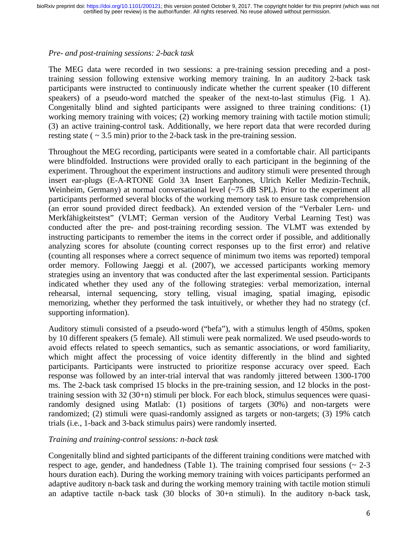#### *Pre- and post-training sessions: 2-back task*

The MEG data were recorded in two sessions: a pre-training session preceding and a posttraining session following extensive working memory training. In an auditory 2-back task participants were instructed to continuously indicate whether the current speaker (10 different speakers) of a pseudo-word matched the speaker of the next-to-last stimulus (Fig. 1 A). Congenitally blind and sighted participants were assigned to three training conditions: (1) working memory training with voices; (2) working memory training with tactile motion stimuli; (3) an active training-control task. Additionally, we here report data that were recorded during resting state ( $\sim$  3.5 min) prior to the 2-back task in the pre-training session.

Throughout the MEG recording, participants were seated in a comfortable chair. All participants were blindfolded. Instructions were provided orally to each participant in the beginning of the experiment. Throughout the experiment instructions and auditory stimuli were presented through insert ear-plugs (E-A-RTONE Gold 3A Insert Earphones, Ulrich Keller Medizin-Technik, Weinheim, Germany) at normal conversational level (~75 dB SPL). Prior to the experiment all participants performed several blocks of the working memory task to ensure task comprehension (an error sound provided direct feedback). An extended version of the "Verbaler Lern- und Merkfähigkeitstest" (VLMT; German version of the Auditory Verbal Learning Test) was conducted after the pre- and post-training recording session. The VLMT was extended by instructing participants to remember the items in the correct order if possible, and additionally analyzing scores for absolute (counting correct responses up to the first error) and relative (counting all responses where a correct sequence of minimum two items was reported) temporal order memory. Following Jaeggi et al. (2007), we accessed participants working memory strategies using an inventory that was conducted after the last experimental session. Participants indicated whether they used any of the following strategies: verbal memorization, internal rehearsal, internal sequencing, story telling, visual imaging, spatial imaging, episodic memorizing, whether they performed the task intuitively, or whether they had no strategy (cf. supporting information).

Auditory stimuli consisted of a pseudo-word ("befa"), with a stimulus length of 450ms, spoken by 10 different speakers (5 female). All stimuli were peak normalized. We used pseudo-words to avoid effects related to speech semantics, such as semantic associations, or word familiarity, which might affect the processing of voice identity differently in the blind and sighted participants. Participants were instructed to prioritize response accuracy over speed. Each response was followed by an inter-trial interval that was randomly jittered between 1300-1700 ms. The 2-back task comprised 15 blocks in the pre-training session, and 12 blocks in the posttraining session with 32 (30+n) stimuli per block. For each block, stimulus sequences were quasirandomly designed using Matlab: (1) positions of targets (30%) and non-targets were randomized; (2) stimuli were quasi-randomly assigned as targets or non-targets; (3) 19% catch trials (i.e., 1-back and 3-back stimulus pairs) were randomly inserted.

#### *Training and training-control sessions: n-back task*

Congenitally blind and sighted participants of the different training conditions were matched with respect to age, gender, and handedness (Table 1). The training comprised four sessions  $\sim 2-3$ hours duration each). During the working memory training with voices participants performed an adaptive auditory n-back task and during the working memory training with tactile motion stimuli an adaptive tactile n-back task (30 blocks of 30+n stimuli). In the auditory n-back task,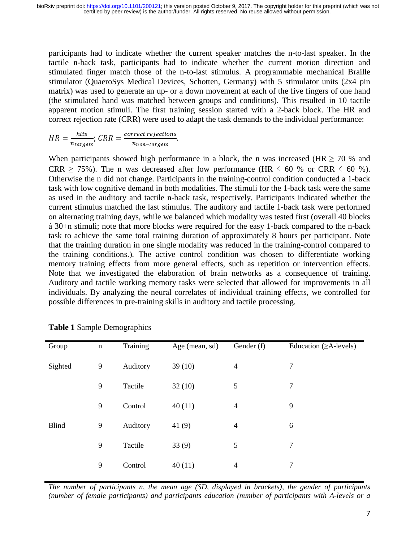participants had to indicate whether the current speaker matches the n-to-last speaker. In the tactile n-back task, participants had to indicate whether the current motion direction and stimulated finger match those of the n-to-last stimulus. A programmable mechanical Braille stimulator (QuaeroSys Medical Devices, Schotten, Germany) with 5 stimulator units (2x4 pin matrix) was used to generate an up- or a down movement at each of the five fingers of one hand (the stimulated hand was matched between groups and conditions). This resulted in 10 tactile apparent motion stimuli. The first training session started with a 2-back block. The HR and correct rejection rate (CRR) were used to adapt the task demands to the individual performance:

 $HR = \frac{hits}{n_{target}}$  $\frac{n_{\text{trages}}}{n_{\text{targest}}};$   $\text{CRR} = \frac{\frac{1}{n_{\text{non-targets}}}}{n_{\text{non-targets}}}$ non-targets" .

When participants showed high performance in a block, the n was increased (HR  $\geq$  70 % and CRR  $\geq$  75%). The n was decreased after low performance (HR  $\leq$  60 % or CRR  $\leq$  60 %). Otherwise the n did not change. Participants in the training-control condition conducted a 1-back task with low cognitive demand in both modalities. The stimuli for the 1-back task were the same as used in the auditory and tactile n-back task, respectively. Participants indicated whether the current stimulus matched the last stimulus. The auditory and tactile 1-back task were performed on alternating training days, while we balanced which modality was tested first (overall 40 blocks á 30+n stimuli; note that more blocks were required for the easy 1-back compared to the n-back task to achieve the same total training duration of approximately 8 hours per participant. Note that the training duration in one single modality was reduced in the training-control compared to the training conditions.). The active control condition was chosen to differentiate working memory training effects from more general effects, such as repetition or intervention effects. Note that we investigated the elaboration of brain networks as a consequence of training. Auditory and tactile working memory tasks were selected that allowed for improvements in all individuals. By analyzing the neural correlates of individual training effects, we controlled for possible differences in pre-training skills in auditory and tactile processing.

| Group        | $\mathbf n$ | Training | Age (mean, sd) | Gender (f)     | Education $(\geq A$ -levels) |
|--------------|-------------|----------|----------------|----------------|------------------------------|
| Sighted      | 9           | Auditory | 39(10)         | $\overline{4}$ | 7                            |
|              | 9           | Tactile  | 32(10)         | 5              | 7                            |
|              | 9           | Control  | 40(11)         | $\overline{4}$ | 9                            |
| <b>Blind</b> | 9           | Auditory | 41 $(9)$       | $\overline{4}$ | 6                            |
|              | 9           | Tactile  | 33(9)          | 5              | $\overline{7}$               |
|              | 9           | Control  | 40(11)         | $\overline{4}$ | 7                            |

**Table 1** Sample Demographics

*The number of participants n, the mean age (SD, displayed in brackets), the gender of participants (number of female participants) and participants education (number of participants with A-levels or a*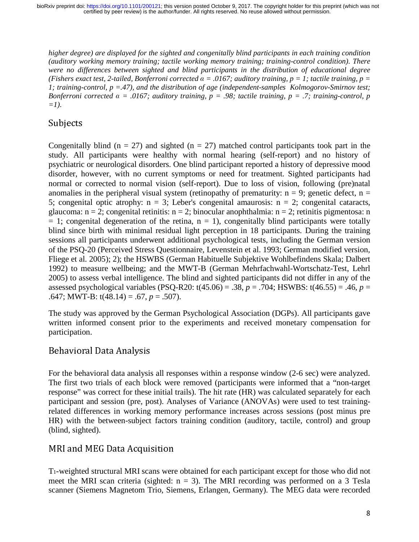*higher degree) are displayed for the sighted and congenitally blind participants in each training condition (auditory working memory training; tactile working memory training; training-control condition). There were no differences between sighted and blind participants in the distribution of educational degree (Fishers exact test, 2-tailed, Bonferroni corrected* α *= .0167; auditory training, p = 1; tactile training, p = 1; training-control, p =.47), and the distribution of age (independent-samples Kolmogorov-Smirnov test; Bonferroni corrected*  $\alpha = .0167$ *; auditory training, p = .98; tactile training, p = .7; training-control, p*  $=1$ ).

# Subjects

Congenitally blind ( $n = 27$ ) and sighted ( $n = 27$ ) matched control participants took part in the study. All participants were healthy with normal hearing (self-report) and no history of psychiatric or neurological disorders. One blind participant reported a history of depressive mood disorder, however, with no current symptoms or need for treatment. Sighted participants had normal or corrected to normal vision (self-report). Due to loss of vision, following (pre)natal anomalies in the peripheral visual system (retinopathy of prematurity:  $n = 9$ ; genetic defect,  $n =$ 5; congenital optic atrophy:  $n = 3$ ; Leber's congenital amaurosis:  $n = 2$ ; congenital cataracts, glaucoma:  $n = 2$ ; congenital retinitis:  $n = 2$ ; binocular anophthalmia:  $n = 2$ ; retinitis pigmentosa: n  $= 1$ ; congenital degeneration of the retina,  $n = 1$ ), congenitally blind participants were totally blind since birth with minimal residual light perception in 18 participants. During the training sessions all participants underwent additional psychological tests, including the German version of the PSQ-20 (Perceived Stress Questionnaire, Levenstein et al. 1993; German modified version, Fliege et al. 2005); 2); the HSWBS (German Habituelle Subjektive Wohlbefindens Skala; Dalbert 1992) to measure wellbeing; and the MWT-B (German Mehrfachwahl-Wortschatz-Test, Lehrl 2005) to assess verbal intelligence. The blind and sighted participants did not differ in any of the assessed psychological variables (PSQ-R20: t(45.06) = .38, *p* = .704; HSWBS: t(46.55) = .46, *p* = .647; MWT-B: t(48.14) = .67, *p* = .507).

The study was approved by the German Psychological Association (DGPs). All participants gave written informed consent prior to the experiments and received monetary compensation for participation.

### Behavioral Data Analysis

For the behavioral data analysis all responses within a response window (2-6 sec) were analyzed. The first two trials of each block were removed (participants were informed that a "non-target response" was correct for these initial trails). The hit rate (HR) was calculated separately for each participant and session (pre, post). Analyses of Variance (ANOVAs) were used to test trainingrelated differences in working memory performance increases across sessions (post minus pre HR) with the between-subject factors training condition (auditory, tactile, control) and group (blind, sighted).

### MRI and MEG Data Acquisition

T1-weighted structural MRI scans were obtained for each participant except for those who did not meet the MRI scan criteria (sighted:  $n = 3$ ). The MRI recording was performed on a 3 Tesla scanner (Siemens Magnetom Trio, Siemens, Erlangen, Germany). The MEG data were recorded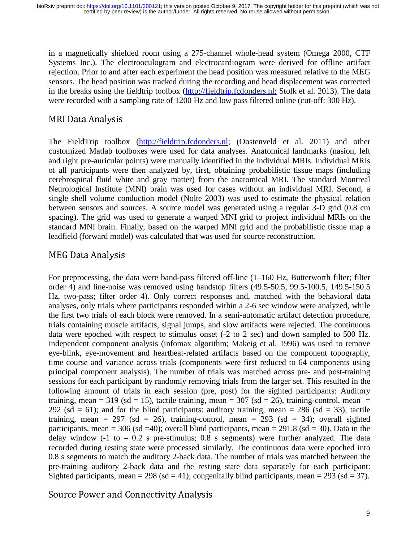in a magnetically shielded room using a 275-channel whole-head system (Omega 2000, CTF Systems Inc.). The electrooculogram and electrocardiogram were derived for offline artifact rejection. Prior to and after each experiment the head position was measured relative to the MEG sensors. The head position was tracked during the recording and head displacement was corrected in the breaks using the fieldtrip toolbox (http://fieldtrip.fcdonders.nl; Stolk et al. 2013). The data were recorded with a sampling rate of 1200 Hz and low pass filtered online (cut-off: 300 Hz).

### MRI Data Analysis

The FieldTrip toolbox (http://fieldtrip.fcdonders.nl; (Oostenveld et al. 2011) and other customized Matlab toolboxes were used for data analyses. Anatomical landmarks (nasion, left and right pre-auricular points) were manually identified in the individual MRIs. Individual MRIs of all participants were then analyzed by, first, obtaining probabilistic tissue maps (including cerebrospinal fluid white and gray matter) from the anatomical MRI. The standard Montreal Neurological Institute (MNI) brain was used for cases without an individual MRI. Second, a single shell volume conduction model (Nolte 2003) was used to estimate the physical relation between sensors and sources. A source model was generated using a regular 3-D grid (0.8 cm spacing). The grid was used to generate a warped MNI grid to project individual MRIs on the standard MNI brain. Finally, based on the warped MNI grid and the probabilistic tissue map a leadfield (forward model) was calculated that was used for source reconstruction.

### MEG Data Analysis

For preprocessing, the data were band-pass filtered of f-line  $(1-160 \text{ Hz}, B$ utterworth filter; filter order 4) and line-noise was removed using bandstop filters (49.5-50.5, 99.5-100.5, 149.5-150.5 Hz, two-pass; filter order 4). Only correct responses and, matched with the behavioral data analyses, only trials where participants responded within a 2-6 sec window were analyzed, while the first two trials of each block were removed. In a semi-automatic artifact detection procedure, trials containing muscle artifacts, signal jumps, and slow artifacts were rejected. The continuous data were epoched with respect to stimulus onset (-2 to 2 sec) and down sampled to 500 Hz. Independent component analysis (infomax algorithm; Makeig et al. 1996) was used to remove eye-blink, eye-movement and heartbeat-related artifacts based on the component topography, time course and variance across trials (components were first reduced to 64 components using principal component analysis). The number of trials was matched across pre- and post-training sessions for each participant by randomly removing trials from the larger set. This resulted in the following amount of trials in each session (pre, post) for the sighted participants: Auditory training, mean = 319 (sd = 15), tactile training, mean = 307 (sd = 26), training-control, mean = 292 (sd = 61); and for the blind participants: auditory training, mean = 286 (sd = 33), tactile training, mean = 297 (sd = 26), training-control, mean = 293 (sd = 34); overall sighted participants, mean = 306 (sd = 40); overall blind participants, mean =  $291.8$  (sd = 30). Data in the delay window  $(-1)$  to  $-0.2$  s pre-stimulus; 0.8 s segments) were further analyzed. The data recorded during resting state were processed similarly. The continuous data were epoched into 0.8 s segments to match the auditory 2-back data. The number of trials was matched between the pre-training auditory 2-back data and the resting state data separately for each participant: Sighted participants, mean = 298 (sd = 41); congenitally blind participants, mean = 293 (sd = 37).

Source Power and Connectivity Analysis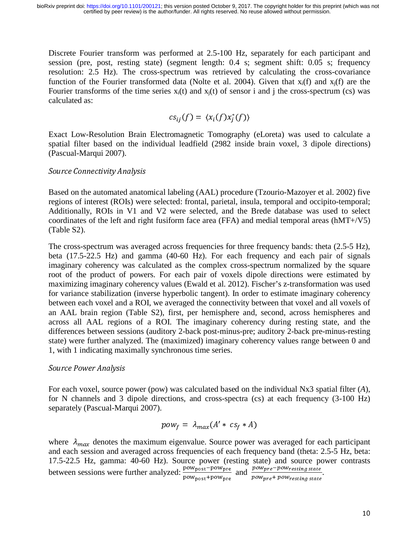Discrete Fourier transform was performed at 2.5-100 Hz, separately for each participant and session (pre, post, resting state) (segment length: 0.4 s; segment shift: 0.05 s; frequency resolution: 2.5 Hz). The cross-spectrum was retrieved by calculating the cross-covariance function of the Fourier transformed data (Nolte et al. 2004). Given that  $x_i(f)$  and  $x_i(f)$  are the Fourier transforms of the time series  $x_i(t)$  and  $x_i(t)$  of sensor i and j the cross-spectrum (cs) was calculated as:

$$
cs_{ij}(f) = \langle x_i(f)x_j^*(f) \rangle
$$

Exact Low-Resolution Brain Electromagnetic Tomography (eLoreta) was used to calculate a spatial filter based on the individual leadfield (2982 inside brain voxel, 3 dipole directions) (Pascual-Marqui 2007).

#### Source Connectivity Analysis

Based on the automated anatomical labeling (AAL) procedure (Tzourio-Mazoyer et al. 2002) five regions of interest (ROIs) were selected: frontal, parietal, insula, temporal and occipito-temporal; Additionally, ROIs in V1 and V2 were selected, and the Brede database was used to select coordinates of the left and right fusiform face area (FFA) and medial temporal areas (hMT+/V5) (Table S2).

The cross-spectrum was averaged across frequencies for three frequency bands: theta (2.5-5 Hz), beta (17.5-22.5 Hz) and gamma (40-60 Hz). For each frequency and each pair of signals imaginary coherency was calculated as the complex cross-spectrum normalized by the square root of the product of powers. For each pair of voxels dipole directions were estimated by maximizing imaginary coherency values (Ewald et al. 2012). Fischer's z-transformation was used for variance stabilization (inverse hyperbolic tangent). In order to estimate imaginary coherency between each voxel and a ROI, we averaged the connectivity between that voxel and all voxels of an AAL brain region (Table S2), first, per hemisphere and, second, across hemispheres and across all AAL regions of a ROI. The imaginary coherency during resting state, and the differences between sessions (auditory 2-back post-minus-pre; auditory 2-back pre-minus-resting state) were further analyzed. The (maximized) imaginary coherency values range between 0 and 1, with 1 indicating maximally synchronous time series.

#### Source Power Analysis

For each voxel, source power (pow) was calculated based on the individual Nx3 spatial filter (*A*), for N channels and 3 dipole directions, and cross-spectra (cs) at each frequency (3-100 Hz) separately (Pascual-Marqui 2007).

$$
pow_f = \lambda_{max}(A' * cs_f * A)
$$

where  $\lambda_{max}$  denotes the maximum eigenvalue. Source power was averaged for each participant and each session and averaged across frequencies of each frequency band (theta: 2.5-5 Hz, beta: 17.5-22.5 Hz, gamma: 40-60 Hz). Source power (resting state) and source power contrasts between sessions were further analyzed:  $\frac{p_{ow}}{p_{ow}}$  then Pow post + Pow pre and  $\frac{power_{pre} - power_{esting state}}{power_{new}}$ powpre + powresting state .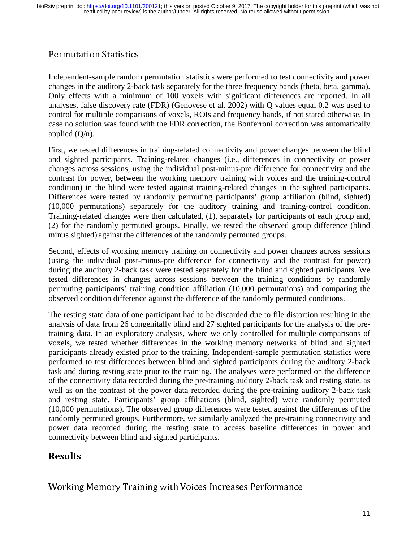### Permutation Statistics

Independent-sample random permutation statistics were performed to test connectivity and power changes in the auditory 2-back task separately for the three frequency bands (theta, beta, gamma). Only effects with a minimum of 100 voxels with significant differences are reported. In all analyses, false discovery rate (FDR) (Genovese et al. 2002) with Q values equal 0.2 was used to control for multiple comparisons of voxels, ROIs and frequency bands, if not stated otherwise. In case no solution was found with the FDR correction, the Bonferroni correction was automatically applied  $(O/n)$ .

First, we tested differences in training-related connectivity and power changes between the blind and sighted participants. Training-related changes (i.e., differences in connectivity or power changes across sessions, using the individual post-minus-pre difference for connectivity and the contrast for power, between the working memory training with voices and the training-control condition) in the blind were tested against training-related changes in the sighted participants. Differences were tested by randomly permuting participants' group affiliation (blind, sighted) (10,000 permutations) separately for the auditory training and training-control condition. Training-related changes were then calculated, (1), separately for participants of each group and, (2) for the randomly permuted groups. Finally, we tested the observed group difference (blind minus sighted) against the differences of the randomly permuted groups.

Second, effects of working memory training on connectivity and power changes across sessions (using the individual post-minus-pre difference for connectivity and the contrast for power) during the auditory 2-back task were tested separately for the blind and sighted participants. We tested differences in changes across sessions between the training conditions by randomly permuting participants' training condition affiliation (10,000 permutations) and comparing the observed condition difference against the difference of the randomly permuted conditions.

The resting state data of one participant had to be discarded due to file distortion resulting in the analysis of data from 26 congenitally blind and 27 sighted participants for the analysis of the pretraining data. In an exploratory analysis, where we only controlled for multiple comparisons of voxels, we tested whether differences in the working memory networks of blind and sighted participants already existed prior to the training. Independent-sample permutation statistics were performed to test differences between blind and sighted participants during the auditory 2-back task and during resting state prior to the training. The analyses were performed on the difference of the connectivity data recorded during the pre-training auditory 2-back task and resting state, as well as on the contrast of the power data recorded during the pre-training auditory 2-back task and resting state. Participants' group affiliations (blind, sighted) were randomly permuted (10,000 permutations). The observed group differences were tested against the differences of the randomly permuted groups. Furthermore, we similarly analyzed the pre-training connectivity and power data recorded during the resting state to access baseline differences in power and connectivity between blind and sighted participants.

### Results

Working Memory Training with Voices Increases Performance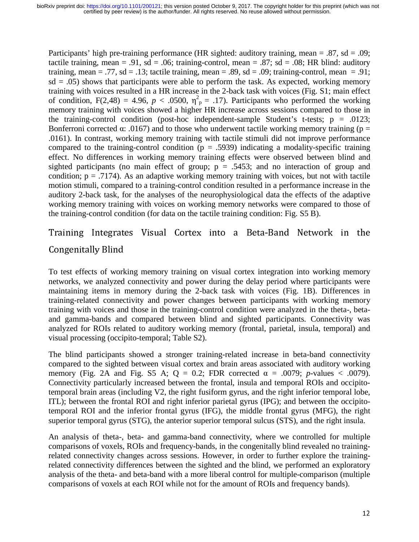Participants' high pre-training performance (HR sighted: auditory training, mean = .87, sd = .09; tactile training, mean = .91, sd = .06; training-control, mean = .87; sd = .08; HR blind: auditory training, mean = .77, sd = .13; tactile training, mean = .89, sd = .09; training-control, mean = .91;  $sd = .05$ ) shows that participants were able to perform the task. As expected, working memory training with voices resulted in a HR increase in the 2-back task with voices (Fig. S1; main effect of condition,  $F(2,48) = 4.96$ ,  $p < .0500$ ,  $\eta^2 p = .17$ ). Participants who performed the working memory training with voices showed a higher HR increase across sessions compared to those in the training-control condition (post-hoc independent-sample Student's t-tests;  $p = .0123$ ; Bonferroni corrected  $\alpha$ : .0167) and to those who underwent tactile working memory training (p = .0161). In contrast, working memory training with tactile stimuli did not improve performance compared to the training-control condition ( $p = .5939$ ) indicating a modality-specific training effect. No differences in working memory training effects were observed between blind and sighted participants (no main effect of group;  $p = .5453$ ; and no interaction of group and condition;  $p = .7174$ ). As an adaptive working memory training with voices, but not with tactile motion stimuli, compared to a training-control condition resulted in a performance increase in the auditory 2-back task, for the analyses of the neurophysiological data the effects of the adaptive working memory training with voices on working memory networks were compared to those of the training-control condition (for data on the tactile training condition: Fig. S5 B).

Training Integrates Visual Cortex into a Beta-Band Network in the Congenitally Blind

To test effects of working memory training on visual cortex integration into working memory networks, we analyzed connectivity and power during the delay period where participants were maintaining items in memory during the 2-back task with voices (Fig. 1B). Differences in training-related connectivity and power changes between participants with working memory training with voices and those in the training-control condition were analyzed in the theta-, betaand gamma-bands and compared between blind and sighted participants. Connectivity was analyzed for ROIs related to auditory working memory (frontal, parietal, insula, temporal) and visual processing (occipito-temporal; Table S2).

The blind participants showed a stronger training-related increase in beta-band connectivity compared to the sighted between visual cortex and brain areas associated with auditory working memory (Fig. 2A and Fig. S5 A;  $Q = 0.2$ ; FDR corrected  $\alpha = .0079$ ; *p*-values < .0079). Connectivity particularly increased between the frontal, insula and temporal ROIs and occipitotemporal brain areas (including V2, the right fusiform gyrus, and the right inferior temporal lobe, ITL); between the frontal ROI and right inferior parietal gyrus (IPG); and between the occipitotemporal ROI and the inferior frontal gyrus (IFG), the middle frontal gyrus (MFG), the right superior temporal gyrus (STG), the anterior superior temporal sulcus (STS), and the right insula.

An analysis of theta-, beta- and gamma-band connectivity, where we controlled for multiple comparisons of voxels, ROIs and frequency-bands, in the congenitally blind revealed no trainingrelated connectivity changes across sessions. However, in order to further explore the trainingrelated connectivity differences between the sighted and the blind, we performed an exploratory analysis of the theta- and beta-band with a more liberal control for multiple-comparison (multiple comparisons of voxels at each ROI while not for the amount of ROIs and frequency bands).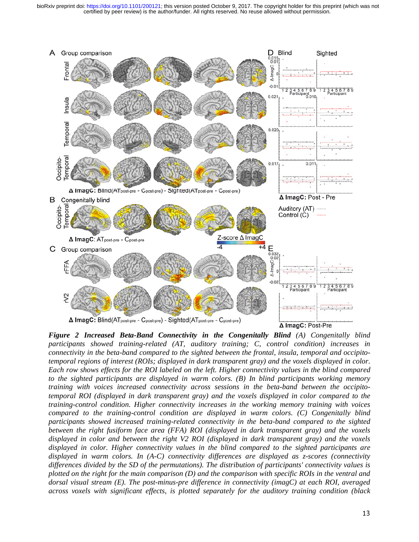certified by peer review) is the author/funder. All rights reserved. No reuse allowed without permission. bioRxiv preprint doi: [https://doi.org/10.1101/200121;](https://doi.org/10.1101/200121) this version posted October 9, 2017. The copyright holder for this preprint (which was not



*Figure 2 Increased Beta-Band Connectivity in the Congenitally Blind (A) Congenitally blind participants showed training-related (AT, auditory training; C, control condition) increases in connectivity in the beta-band compared to the sighted between the frontal, insula, temporal and occipitotemporal regions of interest (ROIs; displayed in dark transparent gray) and the voxels displayed in color. Each row shows effects for the ROI labeled on the left. Higher connectivity values in the blind compared to the sighted participants are displayed in warm colors. (B) In blind participants working memory training with voices increased connectivity across sessions in the beta-band between the occipitotemporal ROI (displayed in dark transparent gray) and the voxels displayed in color compared to the training-control condition. Higher connectivity increases in the working memory training with voices compared to the training-control condition are displayed in warm colors. (C) Congenitally blind participants showed increased training-related connectivity in the beta-band compared to the sighted between the right fusiform face area (FFA) ROI (displayed in dark transparent gray) and the voxels displayed in color and between the right V2 ROI (displayed in dark transparent gray) and the voxels displayed in color. Higher connectivity values in the blind compared to the sighted participants are displayed in warm colors. In (A-C) connectivity differences are displayed as z-scores (connectivity differences divided by the SD of the permutations). The distribution of participants' connectivity values is plotted on the right for the main comparison (D) and the comparison with specific ROIs in the ventral and dorsal visual stream (E). The post-minus-pre difference in connectivity (imagC) at each ROI, averaged across voxels with significant effects, is plotted separately for the auditory training condition (black*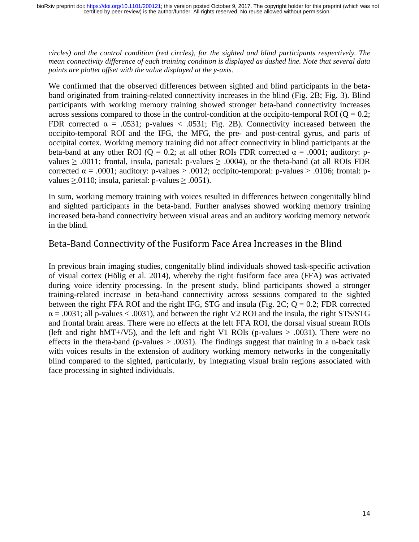*circles) and the control condition (red circles), for the sighted and blind participants respectively. The mean connectivity difference of each training condition is displayed as dashed line. Note that several data points are plottet offset with the value displayed at the y-axis.* 

We confirmed that the observed differences between sighted and blind participants in the betaband originated from training-related connectivity increases in the blind (Fig. 2B; Fig. 3). Blind participants with working memory training showed stronger beta-band connectivity increases across sessions compared to those in the control-condition at the occipito-temporal ROI ( $Q = 0.2$ ; FDR corrected  $\alpha = .0531$ ; p-values < .0531; Fig. 2B). Connectivity increased between the occipito-temporal ROI and the IFG, the MFG, the pre- and post-central gyrus, and parts of occipital cortex. Working memory training did not affect connectivity in blind participants at the beta-band at any other ROI ( $Q = 0.2$ ; at all other ROIs FDR corrected  $\alpha = .0001$ ; auditory: pvalues  $\geq$  .0011; frontal, insula, parietal: p-values  $\geq$  .0004), or the theta-band (at all ROIs FDR corrected  $\alpha = .0001$ ; auditory: p-values  $\ge .0012$ ; occipito-temporal: p-values  $\ge .0106$ ; frontal: pvalues  $\geq 0.0110$ ; insula, parietal: p-values  $\geq 0.0051$ ).

In sum, working memory training with voices resulted in differences between congenitally blind and sighted participants in the beta-band. Further analyses showed working memory training increased beta-band connectivity between visual areas and an auditory working memory network in the blind.

### Beta-Band Connectivity of the Fusiform Face Area Increases in the Blind

In previous brain imaging studies, congenitally blind individuals showed task-specific activation of visual cortex (Hölig et al. 2014), whereby the right fusiform face area (FFA) was activated during voice identity processing. In the present study, blind participants showed a stronger training-related increase in beta-band connectivity across sessions compared to the sighted between the right FFA ROI and the right IFG, STG and insula (Fig. 2C;  $Q = 0.2$ ; FDR corrected  $\alpha$  = .0031; all p-values < .0031), and between the right V2 ROI and the insula, the right STS/STG and frontal brain areas. There were no effects at the left FFA ROI, the dorsal visual stream ROIs (left and right hMT+/V5), and the left and right V1 ROIs (p-values  $> .0031$ ). There were no effects in the theta-band (p-values  $> .0031$ ). The findings suggest that training in a n-back task with voices results in the extension of auditory working memory networks in the congenitally blind compared to the sighted, particularly, by integrating visual brain regions associated with face processing in sighted individuals.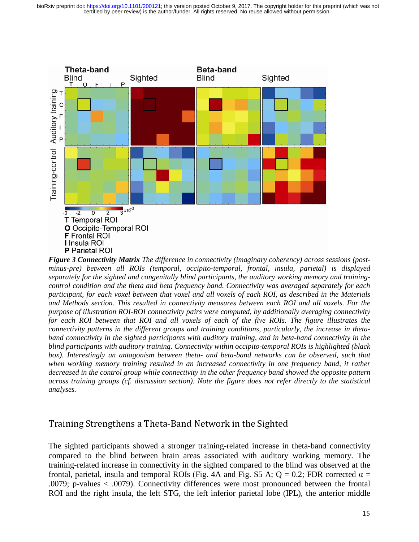

*Figure 3 Connectivity Matrix The difference in connectivity (imaginary coherency) across sessions (postminus-pre) between all ROIs (temporal, occipito-temporal, frontal, insula, parietal) is displayed separately for the sighted and congenitally blind participants, the auditory working memory and trainingcontrol condition and the theta and beta frequency band. Connectivity was averaged separately for each participant, for each voxel between that voxel and all voxels of each ROI, as described in the Materials and Methods section. This resulted in connectivity measures between each ROI and all voxels. For the purpose of illustration ROI-ROI connectivity pairs were computed, by additionally averaging connectivity for each ROI between that ROI and all voxels of each of the five ROIs. The figure illustrates the connectivity patterns in the different groups and training conditions, particularly, the increase in thetaband connectivity in the sighted participants with auditory training, and in beta-band connectivity in the blind participants with auditory training. Connectivity within occipito-temporal ROIs is highlighted (black*  box). Interestingly an antagonism between theta- and beta-band networks can be observed, such that *when working memory training resulted in an increased connectivity in one frequency band, it rather decreased in the control group while connectivity in the other frequency band showed the opposite pattern across training groups (cf. discussion section). Note the figure does not refer directly to the statistical analyses.* 

### Training Strengthens a Theta-Band Network in the Sighted

The sighted participants showed a stronger training-related increase in theta-band connectivity compared to the blind between brain areas associated with auditory working memory. The training-related increase in connectivity in the sighted compared to the blind was observed at the frontal, parietal, insula and temporal ROIs (Fig. 4A and Fig. S5 A; Q = 0.2; FDR corrected  $\alpha$  = .0079; p-values < .0079). Connectivity differences were most pronounced between the frontal ROI and the right insula, the left STG, the left inferior parietal lobe (IPL), the anterior middle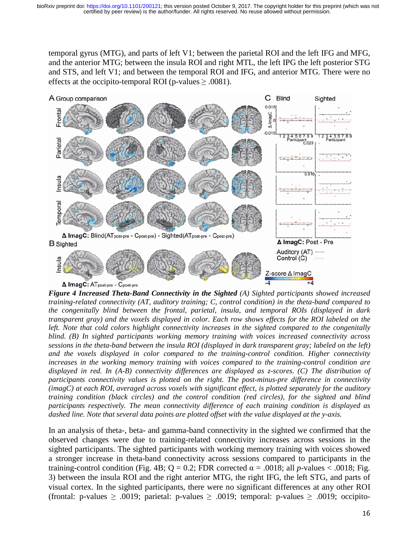temporal gyrus (MTG), and parts of left V1; between the parietal ROI and the left IFG and MFG, and the anterior MTG; between the insula ROI and right MTL, the left IPG the left posterior STG and STS, and left V1; and between the temporal ROI and IFG, and anterior MTG. There were no effects at the occipito-temporal ROI (p-values  $\geq .0081$ ).



*Figure 4 Increased Theta-Band Connectivity in the Sighted (A) Sighted participants showed increased training-related connectivity (AT, auditory training; C, control condition) in the theta-band compared to the congenitally blind between the frontal, parietal, insula, and temporal ROIs (displayed in dark transparent gray) and the voxels displayed in color. Each row shows effects for the ROI labeled on the left. Note that cold colors highlight connectivity increases in the sighted compared to the congenitally blind. (B) In sighted participants working memory training with voices increased connectivity across sessions in the theta-band between the insula ROI (displayed in dark transparent gray; labeled on the left) and the voxels displayed in color compared to the training-control condition. Higher connectivity increases in the working memory training with voices compared to the training-control condition are displayed in red. In (A-B) connectivity differences are displayed as z-scores. (C) The distribution of participants connectivity values is plotted on the right. The post-minus-pre difference in connectivity (imagC) at each ROI, averaged across voxels with significant effect, is plotted separately for the auditory training condition (black circles) and the control condition (red circles), for the sighted and blind participants respectively. The mean connectivity difference of each training condition is displayed as dashed line. Note that several data points are plotted offset with the value displayed at the y-axis.* 

In an analysis of theta-, beta- and gamma-band connectivity in the sighted we confirmed that the observed changes were due to training-related connectivity increases across sessions in the sighted participants. The sighted participants with working memory training with voices showed a stronger increase in theta-band connectivity across sessions compared to participants in the training-control condition (Fig. 4B; Q = 0.2; FDR corrected  $\alpha$  = .0018; all *p*-values < .0018; Fig. 3) between the insula ROI and the right anterior MTG, the right IFG, the left STG, and parts of visual cortex. In the sighted participants, there were no significant differences at any other ROI (frontal: p-values  $\geq .0019$ ; parietal: p-values  $\geq .0019$ ; temporal: p-values  $\geq .0019$ ; occipito-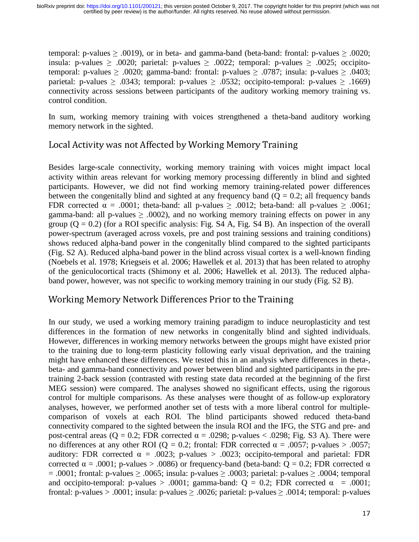temporal: p-values  $\geq$  .0019), or in beta- and gamma-band (beta-band: frontal: p-values  $\geq$  .0020; insula: p-values  $\geq .0020$ ; parietal: p-values  $\geq .0022$ ; temporal: p-values  $\geq .0025$ ; occipitotemporal: p-values  $\geq .0020$ ; gamma-band: frontal: p-values  $\geq .0787$ ; insula: p-values  $\geq .0403$ ; parietal: p-values  $\geq .0343$ ; temporal: p-values  $\geq .0532$ ; occipito-temporal: p-values  $\geq .1669$ ) connectivity across sessions between participants of the auditory working memory training vs. control condition.

In sum, working memory training with voices strengthened a theta-band auditory working memory network in the sighted.

# Local Activity was not Affected by Working Memory Training

Besides large-scale connectivity, working memory training with voices might impact local activity within areas relevant for working memory processing differently in blind and sighted participants. However, we did not find working memory training-related power differences between the congenitally blind and sighted at any frequency band  $(Q = 0.2$ ; all frequency bands FDR corrected  $\alpha = .0001$ ; theta-band: all p-values  $\ge .0012$ ; beta-band: all p-values  $\ge .0061$ ; gamma-band: all p-values  $\geq$  .0002), and no working memory training effects on power in any group  $(Q = 0.2)$  (for a ROI specific analysis: Fig. S4 A, Fig. S4 B). An inspection of the overall power-spectrum (averaged across voxels, pre and post training sessions and training conditions) shows reduced alpha-band power in the congenitally blind compared to the sighted participants (Fig. S2 A). Reduced alpha-band power in the blind across visual cortex is a well-known finding (Noebels et al. 1978; Kriegseis et al. 2006; Hawellek et al. 2013) that has been related to atrophy of the geniculocortical tracts (Shimony et al. 2006; Hawellek et al. 2013). The reduced alphaband power, however, was not specific to working memory training in our study (Fig. S2 B).

### Working Memory Network Differences Prior to the Training

In our study, we used a working memory training paradigm to induce neuroplasticity and test differences in the formation of new networks in congenitally blind and sighted individuals. However, differences in working memory networks between the groups might have existed prior to the training due to long-term plasticity following early visual deprivation, and the training might have enhanced these differences. We tested this in an analysis where differences in theta-, beta- and gamma-band connectivity and power between blind and sighted participants in the pretraining 2-back session (contrasted with resting state data recorded at the beginning of the first MEG session) were compared. The analyses showed no significant effects, using the rigorous control for multiple comparisons. As these analyses were thought of as follow-up exploratory analyses, however, we performed another set of tests with a more liberal control for multiplecomparison of voxels at each ROI. The blind participants showed reduced theta-band connectivity compared to the sighted between the insula ROI and the IFG, the STG and pre- and post-central areas (Q = 0.2; FDR corrected  $\alpha$  = .0298; p-values < .0298; Fig. S3 A). There were no differences at any other ROI (Q = 0.2; frontal: FDR corrected  $\alpha$  = .0057; p-values > .0057; auditory: FDR corrected  $\alpha = .0023$ ; p-values > .0023; occipito-temporal and parietal: FDR corrected  $α = .0001$ ; p-values > .0086) or frequency-band (beta-band:  $Q = 0.2$ ; FDR corrected α = .0001; frontal: p-values  $\geq$  .0065; insula: p-values  $\geq$  .0003; parietal: p-values  $\geq$  .0004; temporal and occipito-temporal: p-values > .0001; gamma-band:  $Q = 0.2$ ; FDR corrected  $\alpha = .0001$ ; frontal: p-values > .0001; insula: p-values  $\geq$  .0026; parietal: p-values  $\geq$  .0014; temporal: p-values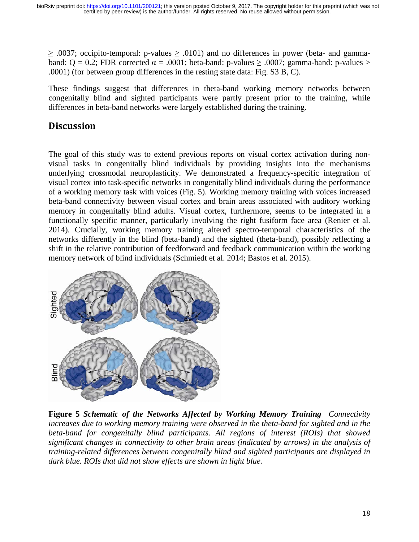$\geq$  .0037; occipito-temporal: p-values  $\geq$  .0101) and no differences in power (beta- and gammaband:  $Q = 0.2$ ; FDR corrected  $\alpha = .0001$ ; beta-band: p-values  $\ge .0007$ ; gamma-band: p-values  $>$ .0001) (for between group differences in the resting state data: Fig. S3 B, C).

These findings suggest that differences in theta-band working memory networks between congenitally blind and sighted participants were partly present prior to the training, while differences in beta-band networks were largely established during the training.

### **Discussion**

The goal of this study was to extend previous reports on visual cortex activation during nonvisual tasks in congenitally blind individuals by providing insights into the mechanisms underlying crossmodal neuroplasticity. We demonstrated a frequency-specific integration of visual cortex into task-specific networks in congenitally blind individuals during the performance of a working memory task with voices (Fig. 5). Working memory training with voices increased beta-band connectivity between visual cortex and brain areas associated with auditory working memory in congenitally blind adults. Visual cortex, furthermore, seems to be integrated in a functionally specific manner, particularly involving the right fusiform face area (Renier et al. 2014). Crucially, working memory training altered spectro-temporal characteristics of the networks differently in the blind (beta-band) and the sighted (theta-band), possibly reflecting a shift in the relative contribution of feedforward and feedback communication within the working memory network of blind individuals (Schmiedt et al. 2014; Bastos et al. 2015).



**Figure 5** *Schematic of the Networks Affected by Working Memory Training Connectivity increases due to working memory training were observed in the theta-band for sighted and in the beta-band for congenitally blind participants. All regions of interest (ROIs) that showed significant changes in connectivity to other brain areas (indicated by arrows) in the analysis of training-related differences between congenitally blind and sighted participants are displayed in dark blue. ROIs that did not show effects are shown in light blue.*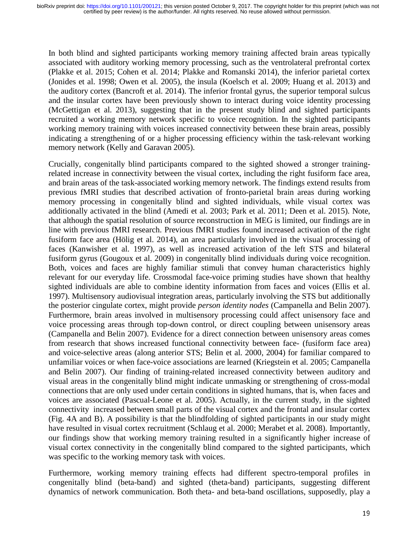In both blind and sighted participants working memory training affected brain areas typically associated with auditory working memory processing, such as the ventrolateral prefrontal cortex (Plakke et al. 2015; Cohen et al. 2014; Plakke and Romanski 2014), the inferior parietal cortex (Jonides et al. 1998; Owen et al. 2005), the insula (Koelsch et al. 2009; Huang et al. 2013) and the auditory cortex (Bancroft et al. 2014). The inferior frontal gyrus, the superior temporal sulcus and the insular cortex have been previously shown to interact during voice identity processing (McGettigan et al. 2013), suggesting that in the present study blind and sighted participants recruited a working memory network specific to voice recognition. In the sighted participants working memory training with voices increased connectivity between these brain areas, possibly indicating a strengthening of or a higher processing efficiency within the task-relevant working memory network (Kelly and Garavan 2005).

Crucially, congenitally blind participants compared to the sighted showed a stronger trainingrelated increase in connectivity between the visual cortex, including the right fusiform face area, and brain areas of the task-associated working memory network. The findings extend results from previous fMRI studies that described activation of fronto-parietal brain areas during working memory processing in congenitally blind and sighted individuals, while visual cortex was additionally activated in the blind (Amedi et al. 2003; Park et al. 2011; Deen et al. 2015). Note, that although the spatial resolution of source reconstruction in MEG is limited, our findings are in line with previous fMRI research. Previous fMRI studies found increased activation of the right fusiform face area (Hölig et al. 2014), an area particularly involved in the visual processing of faces (Kanwisher et al. 1997), as well as increased activation of the left STS and bilateral fusiform gyrus (Gougoux et al. 2009) in congenitally blind individuals during voice recognition. Both, voices and faces are highly familiar stimuli that convey human characteristics highly relevant for our everyday life. Crossmodal face-voice priming studies have shown that healthy sighted individuals are able to combine identity information from faces and voices (Ellis et al. 1997). Multisensory audiovisual integration areas, particularly involving the STS but additionally the posterior cingulate cortex, might provide *person identity nodes* (Campanella and Belin 2007). Furthermore, brain areas involved in multisensory processing could affect unisensory face and voice processing areas through top-down control, or direct coupling between unisensory areas (Campanella and Belin 2007). Evidence for a direct connection between unisensory areas comes from research that shows increased functional connectivity between face- (fusiform face area) and voice-selective areas (along anterior STS; Belin et al. 2000, 2004) for familiar compared to unfamiliar voices or when face-voice associations are learned (Kriegstein et al. 2005; Campanella and Belin 2007). Our finding of training-related increased connectivity between auditory and visual areas in the congenitally blind might indicate unmasking or strengthening of cross-modal connections that are only used under certain conditions in sighted humans, that is, when faces and voices are associated (Pascual-Leone et al. 2005). Actually, in the current study, in the sighted connectivity increased between small parts of the visual cortex and the frontal and insular cortex (Fig. 4A and B). A possibility is that the blindfolding of sighted participants in our study might have resulted in visual cortex recruitment (Schlaug et al. 2000; Merabet et al. 2008). Importantly, our findings show that working memory training resulted in a significantly higher increase of visual cortex connectivity in the congenitally blind compared to the sighted participants, which was specific to the working memory task with voices.

Furthermore, working memory training effects had different spectro-temporal profiles in congenitally blind (beta-band) and sighted (theta-band) participants, suggesting different dynamics of network communication. Both theta- and beta-band oscillations, supposedly, play a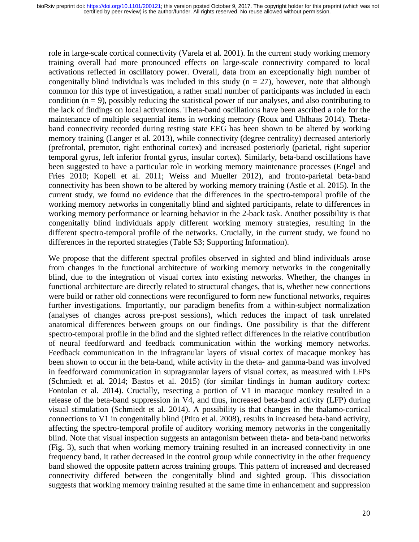role in large-scale cortical connectivity (Varela et al. 2001). In the current study working memory training overall had more pronounced effects on large-scale connectivity compared to local activations reflected in oscillatory power. Overall, data from an exceptionally high number of congenitally blind individuals was included in this study ( $n = 27$ ), however, note that although common for this type of investigation, a rather small number of participants was included in each condition  $(n = 9)$ , possibly reducing the statistical power of our analyses, and also contributing to the lack of findings on local activations. Theta-band oscillations have been ascribed a role for the maintenance of multiple sequential items in working memory (Roux and Uhlhaas 2014). Thetaband connectivity recorded during resting state EEG has been shown to be altered by working memory training (Langer et al. 2013), while connectivity (degree centrality) decreased anteriorly (prefrontal, premotor, right enthorinal cortex) and increased posteriorly (parietal, right superior temporal gyrus, left inferior frontal gyrus, insular cortex). Similarly, beta-band oscillations have been suggested to have a particular role in working memory maintenance processes (Engel and Fries 2010; Kopell et al. 2011; Weiss and Mueller 2012), and fronto-parietal beta-band connectivity has been shown to be altered by working memory training (Astle et al. 2015). In the current study, we found no evidence that the differences in the spectro-temporal profile of the working memory networks in congenitally blind and sighted participants, relate to differences in working memory performance or learning behavior in the 2-back task. Another possibility is that congenitally blind individuals apply different working memory strategies, resulting in the different spectro-temporal profile of the networks. Crucially, in the current study, we found no differences in the reported strategies (Table S3; Supporting Information).

We propose that the different spectral profiles observed in sighted and blind individuals arose from changes in the functional architecture of working memory networks in the congenitally blind, due to the integration of visual cortex into existing networks. Whether, the changes in functional architecture are directly related to structural changes, that is, whether new connections were build or rather old connections were reconfigured to form new functional networks, requires further investigations. Importantly, our paradigm benefits from a within-subject normalization (analyses of changes across pre-post sessions), which reduces the impact of task unrelated anatomical differences between groups on our findings. One possibility is that the different spectro-temporal profile in the blind and the sighted reflect differences in the relative contribution of neural feedforward and feedback communication within the working memory networks. Feedback communication in the infragranular layers of visual cortex of macaque monkey has been shown to occur in the beta-band, while activity in the theta- and gamma-band was involved in feedforward communication in supragranular layers of visual cortex, as measured with LFPs (Schmiedt et al. 2014; Bastos et al. 2015) (for similar findings in human auditory cortex: Fontolan et al. 2014). Crucially, resecting a portion of V1 in macaque monkey resulted in a release of the beta-band suppression in V4, and thus, increased beta-band activity (LFP) during visual stimulation (Schmiedt et al. 2014). A possibility is that changes in the thalamo-cortical connections to V1 in congenitally blind (Ptito et al. 2008), results in increased beta-band activity, affecting the spectro-temporal profile of auditory working memory networks in the congenitally blind. Note that visual inspection suggests an antagonism between theta- and beta-band networks (Fig. 3), such that when working memory training resulted in an increased connectivity in one frequency band, it rather decreased in the control group while connectivity in the other frequency band showed the opposite pattern across training groups. This pattern of increased and decreased connectivity differed between the congenitally blind and sighted group. This dissociation suggests that working memory training resulted at the same time in enhancement and suppression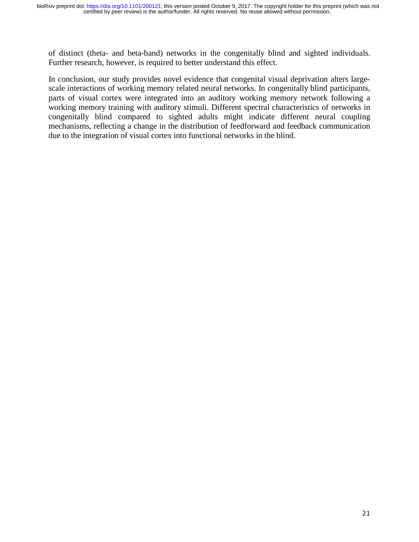of distinct (theta- and beta-band) networks in the congenitally blind and sighted individuals. Further research, however, is required to better understand this effect.

In conclusion, our study provides novel evidence that congenital visual deprivation alters largescale interactions of working memory related neural networks. In congenitally blind participants, parts of visual cortex were integrated into an auditory working memory network following a working memory training with auditory stimuli. Different spectral characteristics of networks in congenitally blind compared to sighted adults might indicate different neural coupling mechanisms, reflecting a change in the distribution of feedforward and feedback communication due to the integration of visual cortex into functional networks in the blind.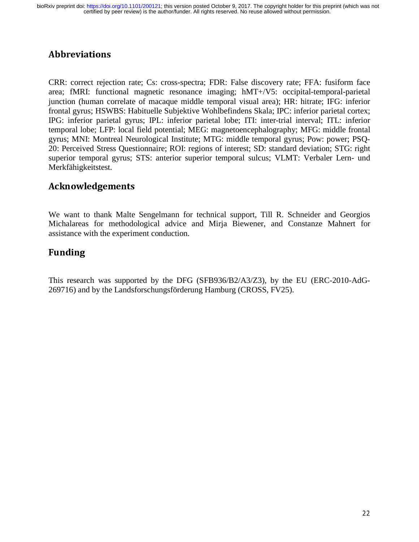# Abbreviations

CRR: correct rejection rate; Cs: cross-spectra; FDR: False discovery rate; FFA: fusiform face area; fMRI: functional magnetic resonance imaging; hMT+/V5: occipital-temporal-parietal junction (human correlate of macaque middle temporal visual area); HR: hitrate; IFG: inferior frontal gyrus; HSWBS: Habituelle Subjektive Wohlbefindens Skala; IPC: inferior parietal cortex; IPG: inferior parietal gyrus; IPL: inferior parietal lobe; ITI: inter-trial interval; ITL: inferior temporal lobe; LFP: local field potential; MEG: magnetoencephalography; MFG: middle frontal gyrus; MNI: Montreal Neurological Institute; MTG: middle temporal gyrus; Pow: power; PSQ-20: Perceived Stress Questionnaire; ROI: regions of interest; SD: standard deviation; STG: right superior temporal gyrus; STS: anterior superior temporal sulcus; VLMT: Verbaler Lern- und Merkfähigkeitstest.

# Acknowledgements

We want to thank Malte Sengelmann for technical support, Till R. Schneider and Georgios Michalareas for methodological advice and Mirja Biewener, and Constanze Mahnert for assistance with the experiment conduction.

# Funding

This research was supported by the DFG (SFB936/B2/A3/Z3), by the EU (ERC-2010-AdG-269716) and by the Landsforschungsförderung Hamburg (CROSS, FV25).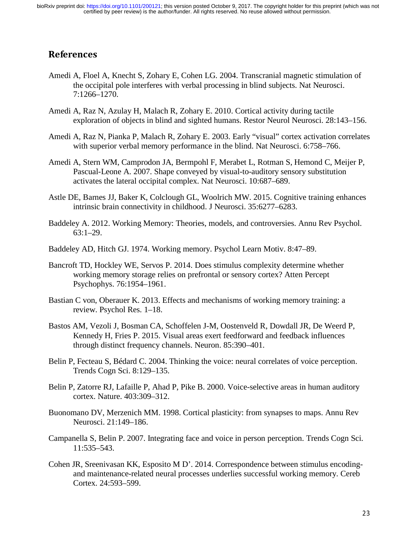### References

- Amedi A, Floel A, Knecht S, Zohary E, Cohen LG. 2004. Transcranial magnetic stimulation of the occipital pole interferes with verbal processing in blind subjects. Nat Neurosci. 7:1266–1270.
- Amedi A, Raz N, Azulay H, Malach R, Zohary E. 2010. Cortical activity during tactile exploration of objects in blind and sighted humans. Restor Neurol Neurosci. 28:143–156.
- Amedi A, Raz N, Pianka P, Malach R, Zohary E. 2003. Early "visual" cortex activation correlates with superior verbal memory performance in the blind. Nat Neurosci. 6:758–766.
- Amedi A, Stern WM, Camprodon JA, Bermpohl F, Merabet L, Rotman S, Hemond C, Meijer P, Pascual-Leone A. 2007. Shape conveyed by visual-to-auditory sensory substitution activates the lateral occipital complex. Nat Neurosci. 10:687–689.
- Astle DE, Barnes JJ, Baker K, Colclough GL, Woolrich MW. 2015. Cognitive training enhances intrinsic brain connectivity in childhood. J Neurosci. 35:6277–6283.
- Baddeley A. 2012. Working Memory: Theories, models, and controversies. Annu Rev Psychol. 63:1–29.
- Baddeley AD, Hitch GJ. 1974. Working memory. Psychol Learn Motiv. 8:47–89.
- Bancroft TD, Hockley WE, Servos P. 2014. Does stimulus complexity determine whether working memory storage relies on prefrontal or sensory cortex? Atten Percept Psychophys. 76:1954–1961.
- Bastian C von, Oberauer K. 2013. Effects and mechanisms of working memory training: a review. Psychol Res. 1–18.
- Bastos AM, Vezoli J, Bosman CA, Schoffelen J-M, Oostenveld R, Dowdall JR, De Weerd P, Kennedy H, Fries P. 2015. Visual areas exert feedforward and feedback influences through distinct frequency channels. Neuron. 85:390–401.
- Belin P, Fecteau S, Bédard C. 2004. Thinking the voice: neural correlates of voice perception. Trends Cogn Sci. 8:129–135.
- Belin P, Zatorre RJ, Lafaille P, Ahad P, Pike B. 2000. Voice-selective areas in human auditory cortex. Nature. 403:309–312.
- Buonomano DV, Merzenich MM. 1998. Cortical plasticity: from synapses to maps. Annu Rev Neurosci. 21:149–186.
- Campanella S, Belin P. 2007. Integrating face and voice in person perception. Trends Cogn Sci. 11:535–543.
- Cohen JR, Sreenivasan KK, Esposito M D'. 2014. Correspondence between stimulus encodingand maintenance-related neural processes underlies successful working memory. Cereb Cortex. 24:593–599.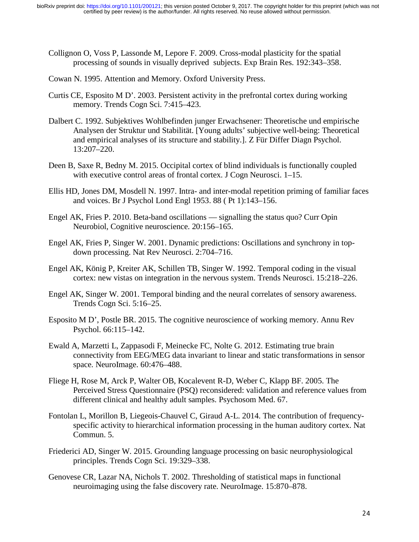- Collignon O, Voss P, Lassonde M, Lepore F. 2009. Cross-modal plasticity for the spatial processing of sounds in visually deprived subjects. Exp Brain Res. 192:343–358.
- Cowan N. 1995. Attention and Memory. Oxford University Press.
- Curtis CE, Esposito M D'. 2003. Persistent activity in the prefrontal cortex during working memory. Trends Cogn Sci. 7:415–423.
- Dalbert C. 1992. Subjektives Wohlbefinden junger Erwachsener: Theoretische und empirische Analysen der Struktur und Stabilität. [Young adults' subjective well-being: Theoretical and empirical analyses of its structure and stability.]. Z Für Differ Diagn Psychol. 13:207–220.
- Deen B, Saxe R, Bedny M. 2015. Occipital cortex of blind individuals is functionally coupled with executive control areas of frontal cortex. J Cogn Neurosci.  $1-15$ .
- Ellis HD, Jones DM, Mosdell N. 1997. Intra- and inter-modal repetition priming of familiar faces and voices. Br J Psychol Lond Engl 1953. 88 ( Pt 1):143–156.
- Engel AK, Fries P. 2010. Beta-band oscillations signalling the status quo? Curr Opin Neurobiol, Cognitive neuroscience. 20:156–165.
- Engel AK, Fries P, Singer W. 2001. Dynamic predictions: Oscillations and synchrony in topdown processing. Nat Rev Neurosci. 2:704–716.
- Engel AK, König P, Kreiter AK, Schillen TB, Singer W. 1992. Temporal coding in the visual cortex: new vistas on integration in the nervous system. Trends Neurosci. 15:218–226.
- Engel AK, Singer W. 2001. Temporal binding and the neural correlates of sensory awareness. Trends Cogn Sci. 5:16–25.
- Esposito M D', Postle BR. 2015. The cognitive neuroscience of working memory. Annu Rev Psychol. 66:115–142.
- Ewald A, Marzetti L, Zappasodi F, Meinecke FC, Nolte G. 2012. Estimating true brain connectivity from EEG/MEG data invariant to linear and static transformations in sensor space. NeuroImage. 60:476–488.
- Fliege H, Rose M, Arck P, Walter OB, Kocalevent R-D, Weber C, Klapp BF. 2005. The Perceived Stress Questionnaire (PSQ) reconsidered: validation and reference values from different clinical and healthy adult samples. Psychosom Med. 67.
- Fontolan L, Morillon B, Liegeois-Chauvel C, Giraud A-L. 2014. The contribution of frequencyspecific activity to hierarchical information processing in the human auditory cortex. Nat Commun. 5.
- Friederici AD, Singer W. 2015. Grounding language processing on basic neurophysiological principles. Trends Cogn Sci. 19:329–338.
- Genovese CR, Lazar NA, Nichols T. 2002. Thresholding of statistical maps in functional neuroimaging using the false discovery rate. NeuroImage. 15:870–878.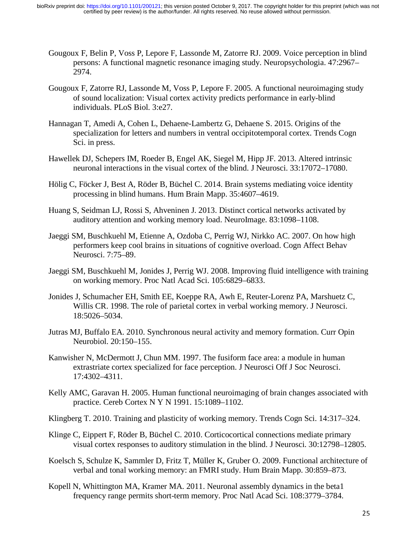- Gougoux F, Belin P, Voss P, Lepore F, Lassonde M, Zatorre RJ. 2009. Voice perception in blind persons: A functional magnetic resonance imaging study. Neuropsychologia. 47:2967– 2974.
- Gougoux F, Zatorre RJ, Lassonde M, Voss P, Lepore F. 2005. A functional neuroimaging study of sound localization: Visual cortex activity predicts performance in early-blind individuals. PLoS Biol. 3:e27.
- Hannagan T, Amedi A, Cohen L, Dehaene-Lambertz G, Dehaene S. 2015. Origins of the specialization for letters and numbers in ventral occipitotemporal cortex. Trends Cogn Sci. in press.
- Hawellek DJ, Schepers IM, Roeder B, Engel AK, Siegel M, Hipp JF. 2013. Altered intrinsic neuronal interactions in the visual cortex of the blind. J Neurosci. 33:17072–17080.
- Hölig C, Föcker J, Best A, Röder B, Büchel C. 2014. Brain systems mediating voice identity processing in blind humans. Hum Brain Mapp. 35:4607–4619.
- Huang S, Seidman LJ, Rossi S, Ahveninen J. 2013. Distinct cortical networks activated by auditory attention and working memory load. NeuroImage. 83:1098–1108.
- Jaeggi SM, Buschkuehl M, Etienne A, Ozdoba C, Perrig WJ, Nirkko AC. 2007. On how high performers keep cool brains in situations of cognitive overload. Cogn Affect Behav Neurosci. 7:75–89.
- Jaeggi SM, Buschkuehl M, Jonides J, Perrig WJ. 2008. Improving fluid intelligence with training on working memory. Proc Natl Acad Sci. 105:6829–6833.
- Jonides J, Schumacher EH, Smith EE, Koeppe RA, Awh E, Reuter-Lorenz PA, Marshuetz C, Willis CR. 1998. The role of parietal cortex in verbal working memory. J Neurosci. 18:5026–5034.
- Jutras MJ, Buffalo EA. 2010. Synchronous neural activity and memory formation. Curr Opin Neurobiol. 20:150–155.
- Kanwisher N, McDermott J, Chun MM. 1997. The fusiform face area: a module in human extrastriate cortex specialized for face perception. J Neurosci Off J Soc Neurosci. 17:4302–4311.
- Kelly AMC, Garavan H. 2005. Human functional neuroimaging of brain changes associated with practice. Cereb Cortex N Y N 1991. 15:1089–1102.
- Klingberg T. 2010. Training and plasticity of working memory. Trends Cogn Sci. 14:317–324.
- Klinge C, Eippert F, Röder B, Büchel C. 2010. Corticocortical connections mediate primary visual cortex responses to auditory stimulation in the blind. J Neurosci. 30:12798–12805.
- Koelsch S, Schulze K, Sammler D, Fritz T, Müller K, Gruber O. 2009. Functional architecture of verbal and tonal working memory: an FMRI study. Hum Brain Mapp. 30:859–873.
- Kopell N, Whittington MA, Kramer MA. 2011. Neuronal assembly dynamics in the beta1 frequency range permits short-term memory. Proc Natl Acad Sci. 108:3779–3784.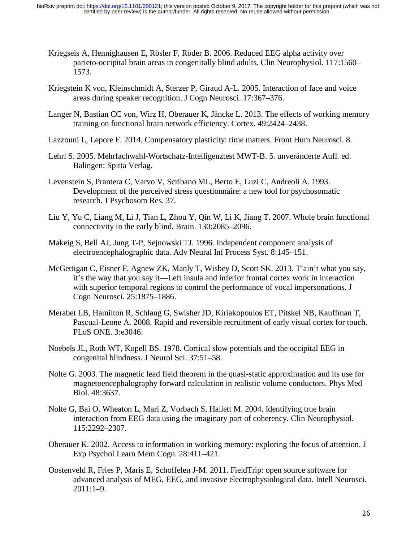- Kriegseis A, Hennighausen E, Rösler F, Röder B. 2006. Reduced EEG alpha activity over parieto-occipital brain areas in congenitally blind adults. Clin Neurophysiol. 117:1560– 1573.
- Kriegstein K von, Kleinschmidt A, Sterzer P, Giraud A-L. 2005. Interaction of face and voice areas during speaker recognition. J Cogn Neurosci. 17:367–376.
- Langer N, Bastian CC von, Wirz H, Oberauer K, Jäncke L. 2013. The effects of working memory training on functional brain network efficiency. Cortex. 49:2424–2438.
- Lazzouni L, Lepore F. 2014. Compensatory plasticity: time matters. Front Hum Neurosci. 8.
- Lehrl S. 2005. Mehrfachwahl-Wortschatz-Intelligenztest MWT-B. 5. unveränderte Aufl. ed. Balingen: Spitta Verlag.
- Levenstein S, Prantera C, Varvo V, Scribano ML, Berto E, Luzi C, Andreoli A. 1993. Development of the perceived stress questionnaire: a new tool for psychosomatic research. J Psychosom Res. 37.
- Liu Y, Yu C, Liang M, Li J, Tian L, Zhou Y, Qin W, Li K, Jiang T. 2007. Whole brain functional connectivity in the early blind. Brain. 130:2085–2096.
- Makeig S, Bell AJ, Jung T-P, Sejnowski TJ. 1996. Independent component analysis of electroencephalographic data. Adv Neural Inf Process Syst. 8:145–151.
- McGettigan C, Eisner F, Agnew ZK, Manly T, Wisbey D, Scott SK. 2013. T'ain't what you say, it's the way that you say it—Left insula and inferior frontal cortex work in interaction with superior temporal regions to control the performance of vocal impersonations. J Cogn Neurosci. 25:1875–1886.
- Merabet LB, Hamilton R, Schlaug G, Swisher JD, Kiriakopoulos ET, Pitskel NB, Kauffman T, Pascual-Leone A. 2008. Rapid and reversible recruitment of early visual cortex for touch. PLoS ONE. 3:e3046.
- Noebels JL, Roth WT, Kopell BS. 1978. Cortical slow potentials and the occipital EEG in congenital blindness. J Neurol Sci. 37:51–58.
- Nolte G. 2003. The magnetic lead field theorem in the quasi-static approximation and its use for magnetoencephalography forward calculation in realistic volume conductors. Phys Med Biol. 48:3637.
- Nolte G, Bai O, Wheaton L, Mari Z, Vorbach S, Hallett M. 2004. Identifying true brain interaction from EEG data using the imaginary part of coherency. Clin Neurophysiol. 115:2292–2307.
- Oberauer K. 2002. Access to information in working memory: exploring the focus of attention. J Exp Psychol Learn Mem Cogn. 28:411–421.
- Oostenveld R, Fries P, Maris E, Schoffelen J-M. 2011. FieldTrip: open source software for advanced analysis of MEG, EEG, and invasive electrophysiological data. Intell Neurosci. 2011:1–9.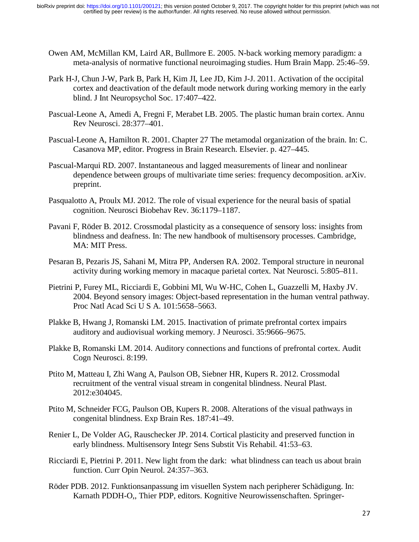- Owen AM, McMillan KM, Laird AR, Bullmore E. 2005. N-back working memory paradigm: a meta-analysis of normative functional neuroimaging studies. Hum Brain Mapp. 25:46–59.
- Park H-J, Chun J-W, Park B, Park H, Kim JI, Lee JD, Kim J-J. 2011. Activation of the occipital cortex and deactivation of the default mode network during working memory in the early blind. J Int Neuropsychol Soc. 17:407–422.
- Pascual-Leone A, Amedi A, Fregni F, Merabet LB. 2005. The plastic human brain cortex. Annu Rev Neurosci. 28:377–401.
- Pascual-Leone A, Hamilton R. 2001. Chapter 27 The metamodal organization of the brain. In: C. Casanova MP, editor. Progress in Brain Research. Elsevier. p. 427–445.
- Pascual-Marqui RD. 2007. Instantaneous and lagged measurements of linear and nonlinear dependence between groups of multivariate time series: frequency decomposition. arXiv. preprint.
- Pasqualotto A, Proulx MJ. 2012. The role of visual experience for the neural basis of spatial cognition. Neurosci Biobehav Rev. 36:1179–1187.
- Pavani F, Röder B. 2012. Crossmodal plasticity as a consequence of sensory loss: insights from blindness and deafness. In: The new handbook of multisensory processes. Cambridge, MA: MIT Press.
- Pesaran B, Pezaris JS, Sahani M, Mitra PP, Andersen RA. 2002. Temporal structure in neuronal activity during working memory in macaque parietal cortex. Nat Neurosci. 5:805–811.
- Pietrini P, Furey ML, Ricciardi E, Gobbini MI, Wu W-HC, Cohen L, Guazzelli M, Haxby JV. 2004. Beyond sensory images: Object-based representation in the human ventral pathway. Proc Natl Acad Sci U S A. 101:5658–5663.
- Plakke B, Hwang J, Romanski LM. 2015. Inactivation of primate prefrontal cortex impairs auditory and audiovisual working memory. J Neurosci. 35:9666–9675.
- Plakke B, Romanski LM. 2014. Auditory connections and functions of prefrontal cortex. Audit Cogn Neurosci. 8:199.
- Ptito M, Matteau I, Zhi Wang A, Paulson OB, Siebner HR, Kupers R. 2012. Crossmodal recruitment of the ventral visual stream in congenital blindness. Neural Plast. 2012:e304045.
- Ptito M, Schneider FCG, Paulson OB, Kupers R. 2008. Alterations of the visual pathways in congenital blindness. Exp Brain Res. 187:41–49.
- Renier L, De Volder AG, Rauschecker JP. 2014. Cortical plasticity and preserved function in early blindness. Multisensory Integr Sens Substit Vis Rehabil. 41:53–63.
- Ricciardi E, Pietrini P. 2011. New light from the dark: what blindness can teach us about brain function. Curr Opin Neurol. 24:357–363.
- Röder PDB. 2012. Funktionsanpassung im visuellen System nach peripherer Schädigung. In: Karnath PDDH-O,, Thier PDP, editors. Kognitive Neurowissenschaften. Springer-